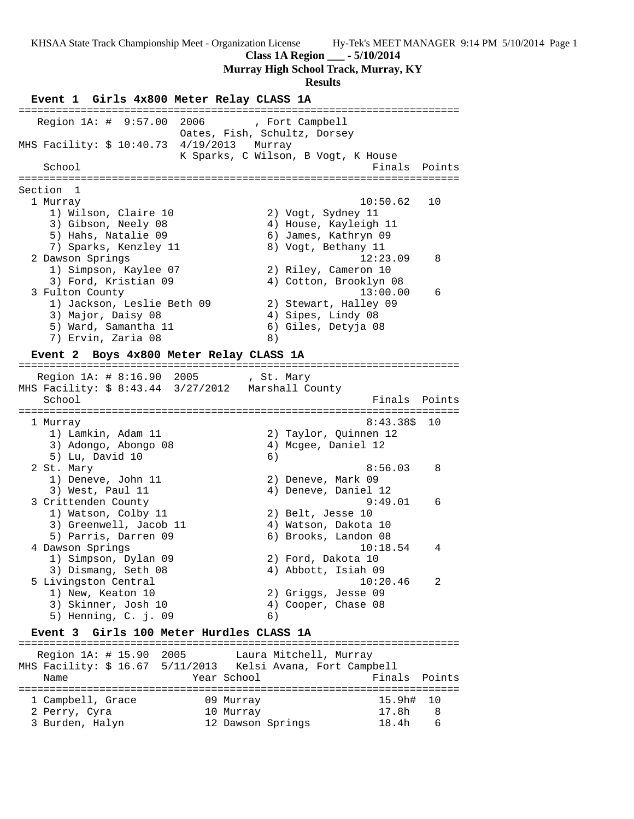**Class 1A Region \_\_\_ - 5/10/2014**

**Murray High School Track, Murray, KY**

### **Results**

**Event 1 Girls 4x800 Meter Relay CLASS 1A** ======================================================================= Region 1A: # 9:57.00 2006 , Fort Campbell Oates, Fish, Schultz, Dorsey MHS Facility: \$ 10:40.73 4/19/2013 Murray K Sparks, C Wilson, B Vogt, K House School **Finals** Points ======================================================================= Section 1 1 Murray 10:50.62 10 1) Wilson, Claire 10 2) Vogt, Sydney 11 3) Gibson, Neely 08 4) House, Kayleigh 11 5) Hahs, Natalie 09 6) James, Kathryn 09 7) Sparks, Kenzley 11 (8) Vogt, Bethany 11 2 Dawson Springs 12:23.09 8 1) Simpson, Kaylee 07 2) Riley, Cameron 10 3) Ford, Kristian 09 4) Cotton, Brooklyn 08 3 Fulton County 13:00.00 6 1) Jackson, Leslie Beth 09 2) Stewart, Halley 09 3) Major, Daisy 08 (4) Sipes, Lindy 08 5) Ward, Samantha 11 6) Giles, Detyja 08 7) Ervin, Zaria 08 (8)

#### **Event 2 Boys 4x800 Meter Relay CLASS 1A**

======================================================================= Region 1A: # 8:16.90 2005 , St. Mary MHS Facility: \$ 8:43.44 3/27/2012 Marshall County School **Finals Points** Points Points Points Points Points Points Points Points Points Points Points Points Points Points Points Points Points Points Points Points Points Points Points Points Points Points Points Points Poi ======================================================================= 1 Murray 8:43.38\$ 10 1) Lamkin, Adam 11 2) Taylor, Quinnen 12 3) Adongo, Abongo 08 4) Mcgee, Daniel 12 5) Lu, David 10 6) 2 St. Mary 8:56.03 8 1) Deneve, John 11 2) Deneve, Mark 09 3) West, Paul 11 (4) Deneve, Daniel 12 3 Crittenden County 9:49.01 6 1) Watson, Colby 11 2) Belt, Jesse 10 3) Greenwell, Jacob 11 (4) Watson, Dakota 10 5) Parris, Darren 09 6) Brooks, Landon 08 4 Dawson Springs 10:18.54 4 1) Simpson, Dylan 09 2) Ford, Dakota 10 3) Dismang, Seth 08 (4) Abbott, Isiah 09 5 Livingston Central 10:20.46 2 1) New, Keaton 10 2) Griggs, Jesse 09 1) New, Keaton 10<br>
3) Skinner, Josh 10<br>
5) Henning C i 09<br>
4) Cooper, Chase 08 5) Henning, C. j. 09 6) **Event 3 Girls 100 Meter Hurdles CLASS 1A** =======================================================================

 Region 1A: # 15.90 2005 Laura Mitchell, Murray MHS Facility: \$ 16.67 5/11/2013 Kelsi Avana, Fort Campbell Name **Name** Year School **Finals** Points ======================================================================= 1 Campbell, Grace 09 Murray 15.9h# 10 2 Perry, Cyra 10 Murray 17.8h 8 3 Burden, Halyn 12 Dawson Springs 18.4h 6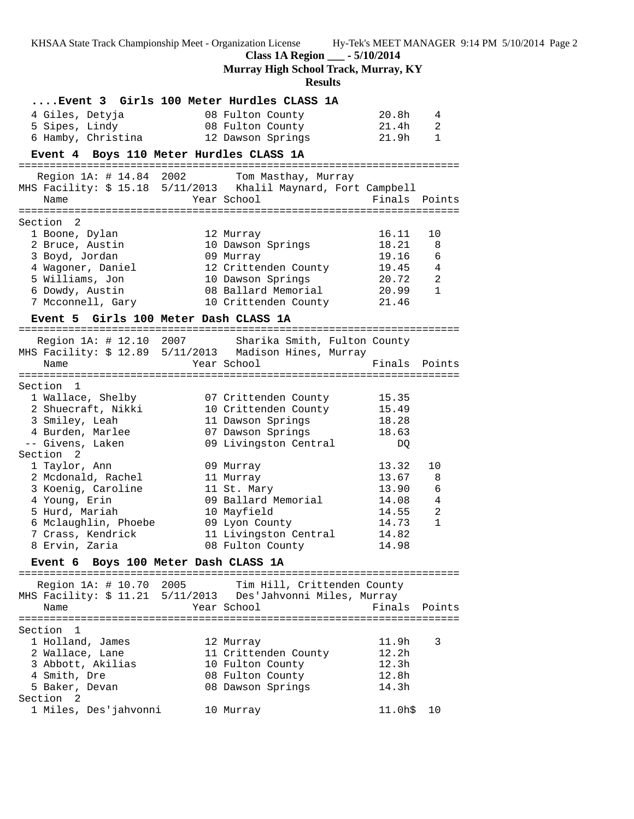KHSAA State Track Championship Meet - Organization License Hy-Tek's MEET MANAGER 9:14 PM 5/10/2014 Page 2 **Class 1A Region \_\_\_ - 5/10/2014 Murray High School Track, Murray, KY Results ....Event 3 Girls 100 Meter Hurdles CLASS 1A** 4 Giles, Detyja 08 Fulton County 20.8h 4 5 Sipes, Lindy 08 Fulton County 21.4h 2 6 Hamby, Christina 12 Dawson Springs 21.9h 1 **Event 4 Boys 110 Meter Hurdles CLASS 1A** ======================================================================= Region 1A: # 14.84 2002 Tom Masthay, Murray MHS Facility: \$ 15.18 5/11/2013 Khalil Maynard, Fort Campbell Name The Year School The Finals Points ======================================================================= Section 2 1 Boone, Dylan 12 Murray 16.11 10 2 Bruce, Austin 10 Dawson Springs 18.21 8 3 Boyd, Jordan 09 Murray 19.16 6 4 Wagoner, Daniel 12 Crittenden County 19.45 4 5 Williams, Jon 10 Dawson Springs 20.72 2 6 Dowdy, Austin 08 Ballard Memorial 20.99 1 7 Mcconnell, Gary 10 Crittenden County 21.46 **Event 5 Girls 100 Meter Dash CLASS 1A** ======================================================================= Region 1A: # 12.10 2007 Sharika Smith, Fulton County MHS Facility: \$ 12.89 5/11/2013 Madison Hines, Murray Name The School Contract Points Points Points Points Points Points Points ======================================================================= Section 1 1 Wallace, Shelby 07 Crittenden County 15.35 2 Shuecraft, Nikki 10 Crittenden County 15.49 3 Smiley, Leah 11 Dawson Springs 18.28 4 Burden, Marlee 07 Dawson Springs 18.63 -- Givens, Laken 09 Livingston Central DQ Section 2 1 Taylor, Ann 09 Murray 13.32 10 2 Mcdonald, Rachel 11 Murray 13.67 8 3 Koenig, Caroline 11 St. Mary 13.90 6 4 Young, Erin 09 Ballard Memorial 14.08 4 5 Hurd, Mariah 10 Mayfield 14.55 2 6 Mclaughlin, Phoebe 09 Lyon County 14.73 1 7 Crass, Kendrick 11 Livingston Central 14.82 8 Ervin, Zaria 08 Fulton County 14.98 **Event 6 Boys 100 Meter Dash CLASS 1A** ======================================================================= Region 1A: # 10.70 2005 Tim Hill, Crittenden County MHS Facility: \$ 11.21 5/11/2013 Des'Jahvonni Miles, Murray Name **Example 2018** Year School **Finals Points** ======================================================================= Section 1 1 Holland, James 12 Murray 11.9h 3 2 Wallace, Lane 11 Crittenden County 12.2h 3 Abbott, Akilias 10 Fulton County 12.3h 4 Smith, Dre 08 Fulton County 12.8h 5 Baker, Devan 08 Dawson Springs 14.3h Section 2 1 Miles, Des'jahvonni 10 Murray 11.0h\$ 10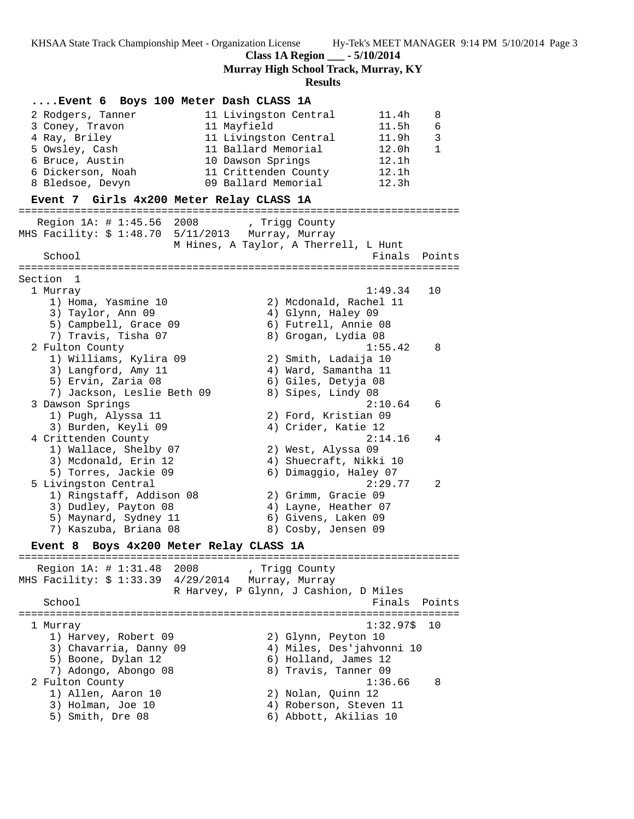**Class 1A Region \_\_\_ - 5/10/2014**

**Murray High School Track, Murray, KY**

**Results**

# **....Event 6 Boys 100 Meter Dash CLASS 1A** 2 Rodgers, Tanner 11 Livingston Central 11.4h 8 3 Coney, Travon 11 Mayfield 11.5h 6 4 Ray, Briley 11 Livingston Central 11.9h 3 5 Owsley, Cash 11 Ballard Memorial 12.0h 1 6 Bruce, Austin 10 Dawson Springs 12.1h 6 Dickerson, Noah 11 Crittenden County 12.1h 8 Bledsoe, Devyn 09 Ballard Memorial 12.3h **Event 7 Girls 4x200 Meter Relay CLASS 1A** ======================================================================= Region 1A: # 1:45.56 2008 , Trigg County MHS Facility: \$ 1:48.70 5/11/2013 Murray, Murray M Hines, A Taylor, A Therrell, L Hunt School **Finals** Points **Points** ======================================================================= Section 1 1 Murray 1:49.34 10 1) Homa, Yasmine 10 2) Mcdonald, Rachel 11 3) Taylor, Ann 09 1988 - 4) Glynn, Haley 09 5) Campbell, Grace 09 6) Futrell, Annie 08 7) Travis, Tisha 07 8) Grogan, Lydia 08 2 Fulton County 1:55.42 8 1) Williams, Kylira 09 2) Smith, Ladaija 10 3) Langford, Amy 11 (4) Ward, Samantha 11 5) Ervin, Zaria 08 6) Giles, Detyja 08 7) Jackson, Leslie Beth 09 8) Sipes, Lindy 08 3 Dawson Springs 2:10.64 6 1) Pugh, Alyssa 11 2) Ford, Kristian 09 3) Burden, Keyli 09 4) Crider, Katie 12 4 Crittenden County 2:14.16 4 1) Wallace, Shelby 07 2) West, Alyssa 09 3) Mcdonald, Erin 12 4) Shuecraft, Nikki 10 5) Torres, Jackie 09 6) Dimaggio, Haley 07 5 Livingston Central 2:29.77 2 1) Ringstaff, Addison 08 2) Grimm, Gracie 09 3) Dudley, Payton 08 (4) Layne, Heather 07 5) Maynard, Sydney 11 (6) Givens, Laken 09 7) Kaszuba, Briana 08 8) Cosby, Jensen 09 **Event 8 Boys 4x200 Meter Relay CLASS 1A** ======================================================================= Region 1A: # 1:31.48 2008 , Trigg County MHS Facility: \$ 1:33.39 4/29/2014 Murray, Murray R Harvey, P Glynn, J Cashion, D Miles School **Finals Points** ======================================================================= 1 Murray 1:32.97\$ 10 1) Harvey, Robert 09 2) Glynn, Peyton 10 3) Chavarria, Danny 09 4) Miles, Des'jahvonni 10 5) Boone, Dylan 12 (6) Holland, James 12 7) Adongo, Abongo 08 8) Travis, Tanner 09 2 Fulton County 1:36.66 8 1) Allen, Aaron 10 2) Nolan, Quinn 12 3) Holman, Joe 10 4) Roberson, Steven 11 5) Smith, Dre 08 6) Abbott, Akilias 10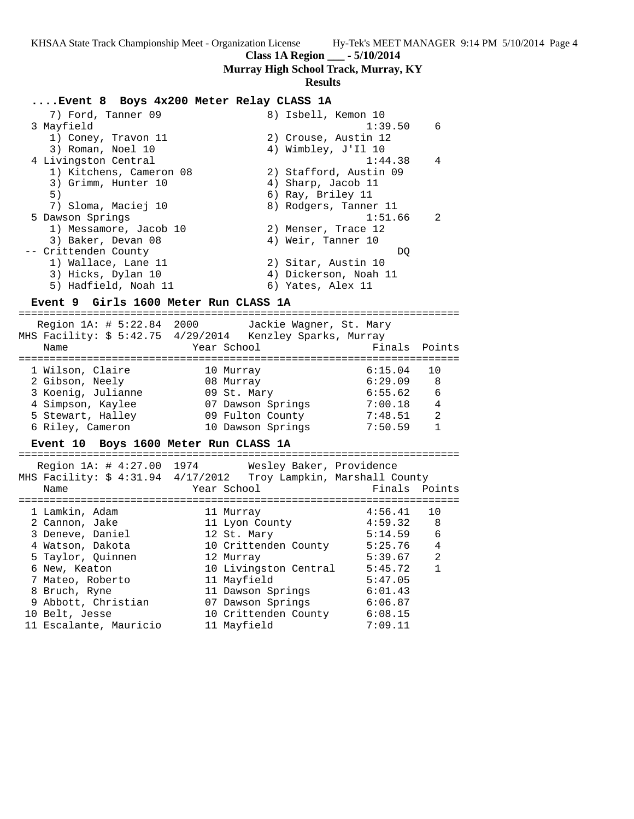**Class 1A Region \_\_\_ - 5/10/2014**

**Murray High School Track, Murray, KY**

#### **Results**

# **....Event 8 Boys 4x200 Meter Relay CLASS 1A**

| 7) Ford, Tanner 09      | 8) Isbell, Kemon 10       |
|-------------------------|---------------------------|
| 3 Mayfield              | 6<br>1:39.50              |
| 1) Coney, Travon 11     | 2) Crouse, Austin 12      |
| 3) Roman, Noel 10       | 4) Wimbley, J'Il 10       |
| 4 Livingston Central    | 1:44.38<br>$\overline{4}$ |
| 1) Kitchens, Cameron 08 | 2) Stafford, Austin 09    |
| 3) Grimm, Hunter 10     | 4) Sharp, Jacob 11        |
| 5)                      | 6) Ray, Briley 11         |
| 7) Sloma, Maciej 10     | 8) Rodgers, Tanner 11     |
| 5 Dawson Springs        | $\mathcal{L}$<br>1:51.66  |
| 1) Messamore, Jacob 10  | 2) Menser, Trace 12       |
| 3) Baker, Devan 08      | 4) Weir, Tanner 10        |
| -- Crittenden County    | DO.                       |
| 1) Wallace, Lane 11     | 2) Sitar, Austin 10       |
| 3) Hicks, Dylan 10      | 4) Dickerson, Noah 11     |
| 5) Hadfield, Noah 11    | 6) Yates, Alex 11         |

# **Event 9 Girls 1600 Meter Run CLASS 1A**

# ======================================================================= Region 1A: # 5:22.84 2000 Jackie Wagner, St. Mary MHS Facility: \$ 5:42.75 4/29/2014 Kenzley Sparks, Murray Name Year School Finals Points ======================================================================= 1 Wilson, Claire

| 08 Murray         | 6:29.09 | 8 |
|-------------------|---------|---|
| 09 St. Mary       | 6:55.62 | 6 |
| 07 Dawson Springs | 7:00.18 | 4 |
| 09 Fulton County  | 7:48.51 |   |
| 10 Dawson Springs | 7:50.59 |   |
|                   |         |   |

# **Event 10 Boys 1600 Meter Run CLASS 1A**

| Region 1A: # 4:27.00 1974<br>MHS Facility: \$ 4:31.94 4/17/2012 Troy Lampkin, Marshall County<br>Name | Wesley Baker, Providence<br>Year School | Finals Points |                |
|-------------------------------------------------------------------------------------------------------|-----------------------------------------|---------------|----------------|
| 1 Lamkin, Adam                                                                                        | 11 Murray                               | 4:56.41       | 10             |
| 2 Cannon, Jake                                                                                        | 11 Lyon County                          | 4:59.32       | - 8            |
| 3 Deneve, Daniel                                                                                      | 12 St. Mary                             | 5:14.59       | 6              |
| 4 Watson, Dakota                                                                                      | 10 Crittenden County                    | 5:25.76       | $\overline{4}$ |
| 5 Taylor, Ouinnen                                                                                     | 12 Murray                               | 5:39.67       | $\mathfrak{D}$ |
| 6 New, Keaton                                                                                         | 10 Livingston Central                   | 5:45.72       | $\mathbf{1}$   |
| 7 Mateo, Roberto                                                                                      | 11 Mayfield                             | 5:47.05       |                |
| 8 Bruch, Ryne                                                                                         | 11 Dawson Springs                       | 6:01.43       |                |
| 9 Abbott, Christian                                                                                   | 07 Dawson Springs                       | 6:06.87       |                |
| 10 Belt, Jesse                                                                                        | 10 Crittenden County                    | 6:08.15       |                |
| 11 Escalante, Mauricio                                                                                | 11 Mayfield                             | 7:09.11       |                |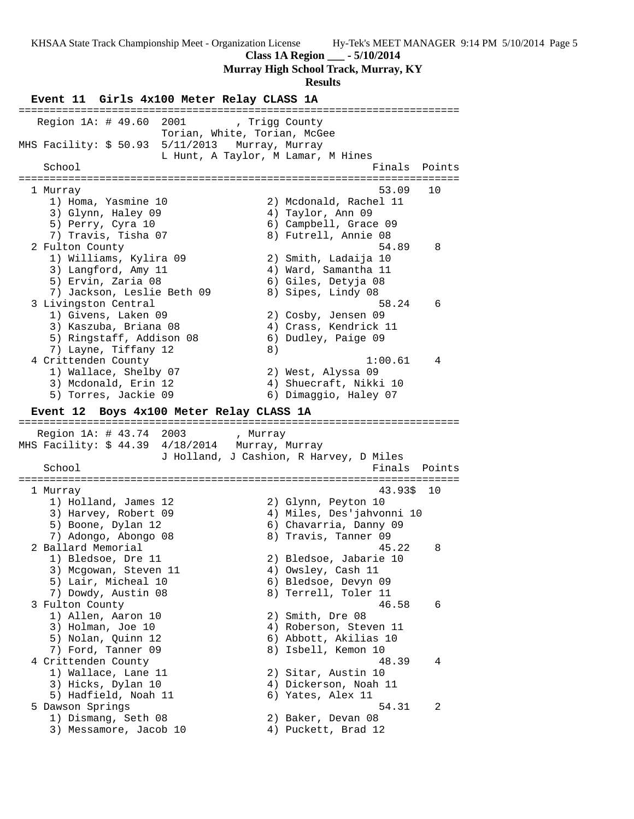KHSAA State Track Championship Meet - Organization License Hy-Tek's MEET MANAGER 9:14 PM 5/10/2014 Page 5 **Class 1A Region \_\_\_ - 5/10/2014 Murray High School Track, Murray, KY Results Event 11 Girls 4x100 Meter Relay CLASS 1A** ======================================================================= Region 1A: # 49.60 2001 , Trigg County Torian, White, Torian, McGee MHS Facility: \$ 50.93 5/11/2013 Murray, Murray L Hunt, A Taylor, M Lamar, M Hines<br>Express to the contract of the set of the set of the set of the set of the set of the set of the set of the set of the set of the set of the set of the set of the set of the set of the se Finals Points ======================================================================= 1 Murray 53.09 10 1) Homa, Yasmine 10 2) Mcdonald, Rachel 11 3) Glynn, Haley 09 4) Taylor, Ann 09 5) Perry, Cyra 10 6) Campbell, Grace 09 7) Travis, Tisha 07 8) Futrell, Annie 08 2 Fulton County 54.89 8 1) Williams, Kylira 09 2) Smith, Ladaija 10 3) Langford, Amy 11 (4) Ward, Samantha 11 5) Ervin, Zaria 08 6) Giles, Detyja 08 7) Jackson, Leslie Beth 09 8) Sipes, Lindy 08 3 Livingston Central 58.24 6 1) Givens, Laken 09 2) Cosby, Jensen 09 3) Kaszuba, Briana 08 4) Crass, Kendrick 11 5) Ringstaff, Addison 08 6) Dudley, Paige 09 7) Layne, Tiffany 12 8) 4 Crittenden County 1:00.61 4 1) Wallace, Shelby 07 2) West, Alyssa 09 3) Mcdonald, Erin 12 4) Shuecraft, Nikki 10 5) Torres, Jackie 09 6) Dimaggio, Haley 07 **Event 12 Boys 4x100 Meter Relay CLASS 1A** ======================================================================= Region 1A: # 43.74 2003 , Murray<br>MHS Facility: \$ 44.39 4/18/2014 Murray, Murray MHS Facility: \$ 44.39 4/18/2014 Murray, Murray J Holland, J Cashion, R Harvey, D Miles School **Finals Points** ======================================================================= 1 Murray 43.93\$ 10 1) Holland, James 12 2) Glynn, Peyton 10 3) Harvey, Robert 09 4) Miles, Des'jahvonni 10 5) Boone, Dylan 12 6) Chavarria, Danny 09 7) Adongo, Abongo 08 8) Travis, Tanner 09 2 Ballard Memorial 45.22 8 1) Bledsoe, Dre 11 2) Bledsoe, Jabarie 10 3) Mcgowan, Steven 11 4) Owsley, Cash 11 5) Lair, Micheal 10 6) Bledsoe, Devyn 09 7) Dowdy, Austin 08 8) Terrell, Toler 11 3 Fulton County 46.58 6 1) Allen, Aaron 10 2) Smith, Dre 08 3) Holman, Joe 10 4) Roberson, Steven 11 5) Nolan, Quinn 12 6) Abbott, Akilias 10 7) Ford, Tanner 09 8) Isbell, Kemon 10 4 Crittenden County 48.39 4 1) Wallace, Lane 11 2) Sitar, Austin 10 3) Hicks, Dylan 10 4) Dickerson, Noah 11 5) Hadfield, Noah 11 (6) Yates, Alex 11 5 Dawson Springs 54.31 2 1) Dismang, Seth 08 2) Baker, Devan 08 3) Messamore, Jacob 10 (4) Puckett, Brad 12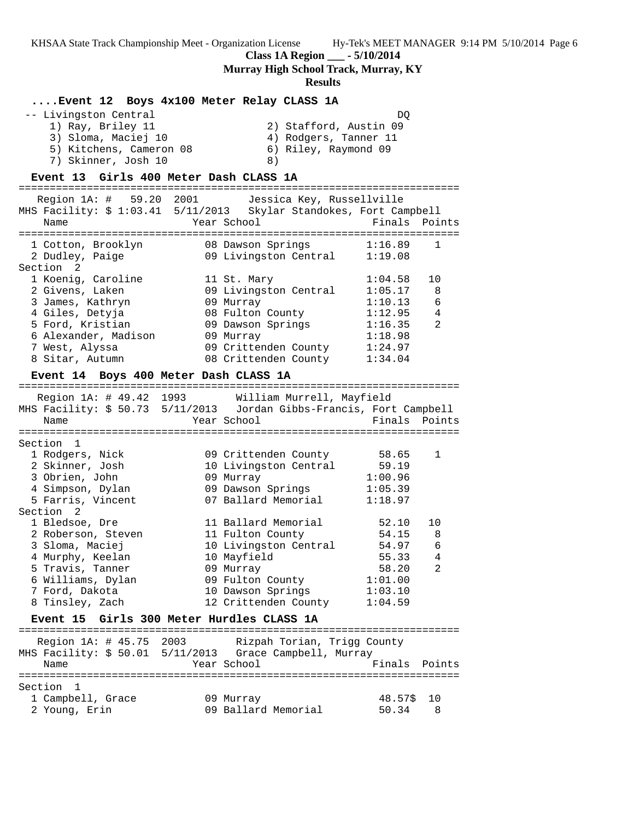**Class 1A Region \_\_\_ - 5/10/2014**

**Murray High School Track, Murray, KY**

#### **Results**

# **....Event 12 Boys 4x100 Meter Relay CLASS 1A**

| -- Livingston Central   | DO                     |
|-------------------------|------------------------|
| 1) Ray, Briley 11       | 2) Stafford, Austin 09 |
| 3) Sloma, Maciej 10     | 4) Rodgers, Tanner 11  |
| 5) Kitchens, Cameron 08 | 6) Riley, Raymond 09   |
| 7) Skinner, Josh 10     | 8)                     |

# **Event 13 Girls 400 Meter Dash CLASS 1A**

======================================================================= Region 1A: # 59.20 2001 Jessica Key, Russellville MHS Facility: \$ 1:03.41 5/11/2013 Skylar Standokes, Fort Campbell Name The Year School The Finals Points ======================================================================= 1 Cotton, Brooklyn 08 Dawson Springs 1:16.89 1 2 Dudley, Paige 09 Livingston Central 1:19.08 Section 2 1 Koenig, Caroline 11 St. Mary 1:04.58 10 2 Givens, Laken 09 Livingston Central 1:05.17 8 3 James, Kathryn 09 Murray 1:10.13 6 4 Giles, Detyja 08 Fulton County 1:12.95 4 5 Ford, Kristian 09 Dawson Springs 1:16.35 2 6 Alexander, Madison 09 Murray 1:18.98 7 West, Alyssa 09 Crittenden County 1:24.97 8 Sitar, Autumn 08 Crittenden County 1:34.04 **Event 14 Boys 400 Meter Dash CLASS 1A** ======================================================================= Region 1A: # 49.42 1993 William Murrell, Mayfield MHS Facility: \$ 50.73 5/11/2013 Jordan Gibbs-Francis, Fort Campbell Name **The School** Year School **Finals** Points ======================================================================= Section 1 1 Rodgers, Nick 09 Crittenden County 58.65 1 2 Skinner, Josh 10 Livingston Central 59.19 3 Obrien, John 09 Murray 1:00.96 4 Simpson, Dylan 09 Dawson Springs 1:05.39 5 Farris, Vincent 07 Ballard Memorial 1:18.97 Section 2 1 Bledsoe, Dre 11 Ballard Memorial 52.10 10 2 Roberson, Steven 11 Fulton County 54.15 8 3 Sloma, Maciej 10 Livingston Central 54.97 6 4 Murphy, Keelan 10 Mayfield 55.33 4 5 Travis, Tanner 09 Murray 58.20 2 6 Williams, Dylan 09 Fulton County 1:01.00 7 Ford, Dakota 10 Dawson Springs 1:03.10 8 Tinsley, Zach 12 Crittenden County 1:04.59 **Event 15 Girls 300 Meter Hurdles CLASS 1A** =======================================================================

| Region 1A: # 45.75 2003<br>Name                 | Rizpah Torian, Trigg County<br>MHS Facility: \$ 50.01 5/11/2013 Grace Campbell, Murray<br>Year School | Finals Points             |
|-------------------------------------------------|-------------------------------------------------------------------------------------------------------|---------------------------|
| Section 1<br>1 Campbell, Grace<br>2 Young, Erin | 09 Murray<br>09 Ballard Memorial                                                                      | 48.57\$ 10<br>50.34<br>-8 |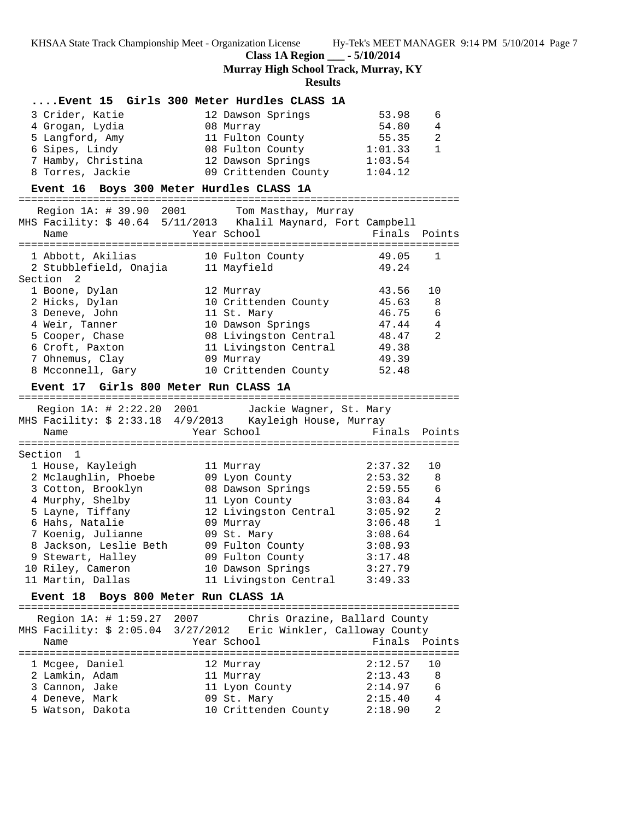**Class 1A Region \_\_\_ - 5/10/2014**

**Murray High School Track, Murray, KY**

**Results**

# **....Event 15 Girls 300 Meter Hurdles CLASS 1A**

| 3 Crider, Katie    | 12 Dawson Springs    | 53.98   | - 6            |
|--------------------|----------------------|---------|----------------|
| 4 Grogan, Lydia    | 08 Murray            | 54.80   | $\overline{4}$ |
| 5 Langford, Amy    | 11 Fulton County     | 55.35   | - 2            |
| 6 Sipes, Lindy     | 08 Fulton County     | 1:01.33 | $\mathbf{1}$   |
| 7 Hamby, Christina | 12 Dawson Springs    | 1:03.54 |                |
| 8 Torres, Jackie   | 09 Crittenden County | 1:04.12 |                |

# **Event 16 Boys 300 Meter Hurdles CLASS 1A**

| Name                                                                                                                                    |             | Region 1A: # 39.90 2001 Tom Masthay, Murray<br>MHS Facility: \$ 40.64 5/11/2013 Khalil Maynard, Fort Campbell<br>Year School | Finals Points  |              |  |
|-----------------------------------------------------------------------------------------------------------------------------------------|-------------|------------------------------------------------------------------------------------------------------------------------------|----------------|--------------|--|
|                                                                                                                                         |             |                                                                                                                              |                |              |  |
| 1 Abbott, Akilias<br>1 Abbott, Akilias 10 Fulton Composition Composition Composition Composition Composition Composition C<br>Section 2 |             | 10 Fulton County                                                                                                             | 49.05<br>49.24 | $\mathbf{1}$ |  |
| 1 Boone, Dylan                                                                                                                          |             | 12 Murray                                                                                                                    | 43.56          | 10           |  |
| 2 Hicks, Dylan                                                                                                                          |             | 10 Crittenden County                                                                                                         | 45.63          | 8            |  |
| 3 Deneve, John                                                                                                                          |             | 11 St. Mary                                                                                                                  | 46.75          | 6            |  |
| 4 Weir, Tanner                                                                                                                          |             | 10 Dawson Springs                                                                                                            | 47.44          | 4            |  |
| 5 Cooper, Chase                                                                                                                         |             | 08 Livingston Central                                                                                                        | 48.47          | 2            |  |
| 6 Croft, Paxton                                                                                                                         |             | 11 Livingston Central                                                                                                        | 49.38          |              |  |
| 7 Ohnemus, Clay                                                                                                                         |             | 09 Murray                                                                                                                    | 49.39          |              |  |
| 8 Mcconnell, Gary                                                                                                                       |             | 10 Crittenden County                                                                                                         | 52.48          |              |  |
|                                                                                                                                         |             |                                                                                                                              |                |              |  |
| Event 17 Girls 800 Meter Run CLASS 1A                                                                                                   |             |                                                                                                                              |                |              |  |
|                                                                                                                                         |             |                                                                                                                              |                |              |  |
|                                                                                                                                         |             | Region 1A: # 2:22.20 2001 Jackie Wagner, St. Mary                                                                            |                |              |  |
|                                                                                                                                         |             | MHS Facility: \$ 2:33.18 4/9/2013 Kayleigh House, Murray                                                                     |                |              |  |
| Name                                                                                                                                    |             | Year School                                                                                                                  | Finals         | Points       |  |
| ===============<br>Section 1                                                                                                            |             |                                                                                                                              |                |              |  |
|                                                                                                                                         |             |                                                                                                                              | 2:37.32        | 10           |  |
| 1 House, Kayleigh<br>2 Mclaughlin, Phoebe                                                                                               |             | 11 Murray<br>09 Lyon County                                                                                                  | 2:53.32        | 8            |  |
| 3 Cotton, Brooklyn                                                                                                                      |             | 08 Dawson Springs 2:59.55                                                                                                    |                | 6            |  |
| 4 Murphy, Shelby                                                                                                                        |             | 11 Lyon County                                                                                                               | 3:03.84        | 4            |  |
| 5 Layne, Tiffany                                                                                                                        |             | 12 Livingston Central 3:05.92                                                                                                |                | 2            |  |
| 6 Hahs, Natalie                                                                                                                         |             | 09 Murray                                                                                                                    | 3:06.48        | $\mathbf{1}$ |  |
| 7 Koenig, Julianne                                                                                                                      |             | 09 St. Mary                                                                                                                  | 3:08.64        |              |  |
| 8 Jackson, Leslie Beth                                                                                                                  |             | 09 Fulton County                                                                                                             | 3:08.93        |              |  |
| 9 Stewart, Halley                                                                                                                       |             | 09 Fulton County                                                                                                             | 3:17.48        |              |  |
| 10 Riley, Cameron                                                                                                                       |             | 10 Dawson Springs 3:27.79                                                                                                    |                |              |  |
| 11 Martin, Dallas                                                                                                                       |             | 11 Livingston Central 3:49.33                                                                                                |                |              |  |
|                                                                                                                                         |             |                                                                                                                              |                |              |  |
| Event 18 Boys 800 Meter Run CLASS 1A                                                                                                    |             |                                                                                                                              |                |              |  |
| Region 1A: # 1:59.27 2007 Chris Orazine, Ballard County                                                                                 |             |                                                                                                                              |                |              |  |
|                                                                                                                                         |             | MHS Facility: \$ 2:05.04 3/27/2012 Eric Winkler, Calloway County                                                             |                |              |  |
|                                                                                                                                         | Year School |                                                                                                                              |                |              |  |
| Name                                                                                                                                    |             |                                                                                                                              | Finals         | Points       |  |

 1 Mcgee, Daniel 12 Murray 2:12.57 10 2 Lamkin, Adam 11 Murray 2:13.43 8 3 Cannon, Jake 11 Lyon County 2:14.97 6 4 Deneve, Mark 09 St. Mary 2:15.40 4 5 Watson, Dakota 10 Crittenden County 2:18.90 2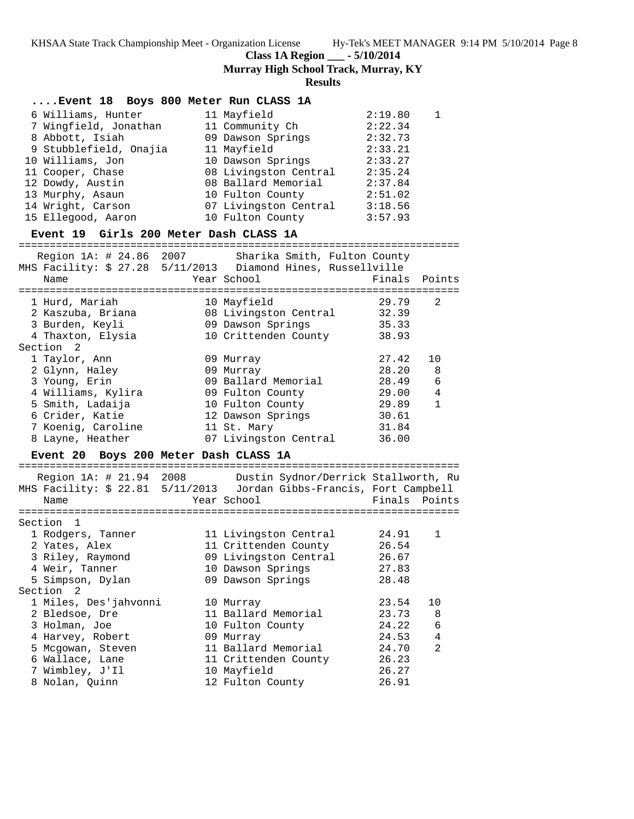**Class 1A Region \_\_\_ - 5/10/2014**

**Murray High School Track, Murray, KY**

# **Results**

| Event 18 Boys 800 Meter Run CLASS 1A                                                                                                                                                                                |                                                                                                                                                                                                          |                                                                                                            |                                   |
|---------------------------------------------------------------------------------------------------------------------------------------------------------------------------------------------------------------------|----------------------------------------------------------------------------------------------------------------------------------------------------------------------------------------------------------|------------------------------------------------------------------------------------------------------------|-----------------------------------|
| 6 Williams, Hunter<br>7 Wingfield, Jonathan<br>8 Abbott, Isiah<br>9 Stubblefield, Onajia<br>10 Williams, Jon<br>11 Cooper, Chase<br>12 Dowdy, Austin<br>13 Murphy, Asaun<br>14 Wright, Carson<br>15 Ellegood, Aaron | 11 Mayfield<br>11 Community Ch<br>09 Dawson Springs<br>11 Mayfield<br>10 Dawson Springs<br>08 Livingston Central<br>08 Ballard Memorial<br>10 Fulton County<br>07 Livingston Central<br>10 Fulton County | 2:19.80<br>2:22.34<br>2:32.73<br>2:33.21<br>2:33.27<br>2:35.24<br>2:37.84<br>2:51.02<br>3:18.56<br>3:57.93 | 1                                 |
| Event 19 Girls 200 Meter Dash CLASS 1A                                                                                                                                                                              |                                                                                                                                                                                                          |                                                                                                            |                                   |
| Name                                                                                                                                                                                                                | Region 1A: # 24.86 2007 Sharika Smith, Fulton County<br>Year School                                                                                                                                      | Finals                                                                                                     | Points                            |
| 1 Hurd, Mariah<br>3 Burden, Keyli<br>4 Thaxton, Elysia<br>Section 2                                                                                                                                                 | 10 Mayfield<br>2 Kaszuba, Briana (2008 Livingston Central 22.39)<br>09 Dawson Springs<br>10 Crittenden County 38.93                                                                                      | 29.79<br>35.33                                                                                             | 2                                 |
| 1 Taylor, Ann<br>2 Glynn, Haley<br>3 Young, Erin<br>4 Williams, Kylira<br>5 Smith, Ladaija<br>6 Crider, Katie<br>7 Koenig, Caroline<br>8 Layne, Heather                                                             | 09 Murray<br>09 Murray<br>09 Ballard Memorial<br>09 Fulton County<br>10 Fulton County<br>12 Dawson Springs<br>11 St. Mary<br>07 Livingston Central                                                       | 27.42<br>28.20<br>28.49<br>29.00<br>29.89<br>30.61<br>31.84<br>36.00                                       | 10<br>8<br>6<br>4<br>$\mathbf{1}$ |
| Event 20 Boys 200 Meter Dash CLASS 1A                                                                                                                                                                               |                                                                                                                                                                                                          |                                                                                                            |                                   |
| Name                                                                                                                                                                                                                | Region 1A: # 21.94 2008 Dustin Sydnor/Derrick Stallworth, Ru<br>MHS Facility: \$ 22.81 5/11/2013 Jordan Gibbs-Francis, Fort Campbell<br>Year School                                                      | Finals                                                                                                     | Points                            |
| Section 1<br>1 Rodgers, Tanner<br>2 Yates, Alex<br>3 Riley, Raymond<br>4 Weir, Tanner<br>5 Simpson, Dylan<br>Section 2                                                                                              | 11 Livingston Central<br>11 Crittenden County<br>09 Livingston Central<br>10 Dawson Springs<br>09 Dawson Springs                                                                                         | 24.91<br>26.54<br>26.67<br>27.83<br>28.48                                                                  | 1                                 |
| 1 Miles, Des'jahvonni<br>2 Bledsoe, Dre<br>3 Holman, Joe<br>4 Harvey, Robert<br>5 Mcgowan, Steven<br>6 Wallace, Lane<br>7 Wimbley, J'Il<br>8 Nolan, Quinn                                                           | 10 Murray<br>11 Ballard Memorial<br>10 Fulton County<br>09 Murray<br>11 Ballard Memorial<br>11 Crittenden County<br>10 Mayfield<br>12 Fulton County                                                      | 23.54<br>23.73<br>24.22<br>24.53<br>24.70<br>26.23<br>26.27<br>26.91                                       | 10<br>8<br>6<br>4<br>2            |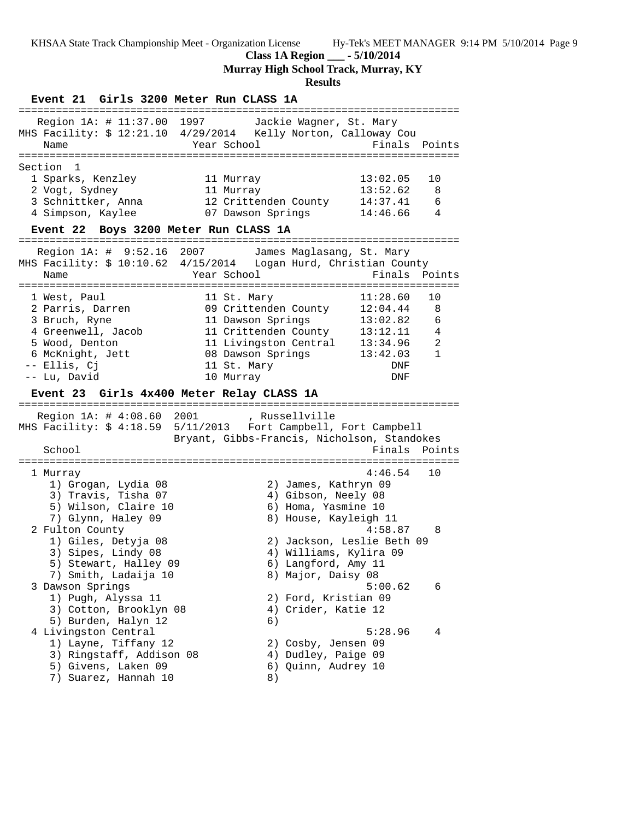**Class 1A Region \_\_\_ - 5/10/2014**

**Murray High School Track, Murray, KY**

# **Results**

**Event 21 Girls 3200 Meter Run CLASS 1A** ======================================================================= Region 1A: # 11:37.00 1997 Jackie Wagner, St. Mary MHS Facility: \$ 12:21.10 4/29/2014 Kelly Norton, Calloway Cou Name Year School Finals Points ======================================================================= Section 1 1 Sparks, Kenzley 11 Murray 13:02.05 10 2 Vogt, Sydney 11 Murray 13:52.62 8 3 Schnittker, Anna 12 Crittenden County 14:37.41 6 4 Simpson, Kaylee 07 Dawson Springs 14:46.66 4 **Event 22 Boys 3200 Meter Run CLASS 1A** ======================================================================= Region 1A: # 9:52.16 2007 James Maglasang, St. Mary MHS Facility: \$ 10:10.62 4/15/2014 Logan Hurd, Christian County Name The School Team School (Finals Points ======================================================================= 1 West, Paul 11 St. Mary 11:28.60 10 2 Parris, Darren 09 Crittenden County 12:04.44 8 3 Bruch, Ryne 11 Dawson Springs 13:02.82 6 4 Greenwell, Jacob 11 Crittenden County 13:12.11 4 5 Wood, Denton 11 Livingston Central 13:34.96 2 6 McKnight, Jett 08 Dawson Springs 13:42.03 1 -- Ellis, Cj 11 St. Mary DNF -- Lu, David 10 Murray DNF **Event 23 Girls 4x400 Meter Relay CLASS 1A** ======================================================================= Region 1A: # 4:08.60 2001 , Russellville MHS Facility: \$ 4:18.59 5/11/2013 Fort Campbell, Fort Campbell Bryant, Gibbs-Francis, Nicholson, Standokes School **Finals Points** ======================================================================= 1 Murray 4:46.54 10 1) Grogan, Lydia 08 2) James, Kathryn 09 3) Travis, Tisha 07 4) Gibson, Neely 08 5) Wilson, Claire 10 (6) Homa, Yasmine 10 7) Glynn, Haley 09 8) House, Kayleigh 11 2 Fulton County 4:58.87 8 1) Giles, Detyja 08 2) Jackson, Leslie Beth 09 3) Sipes, Lindy 08 4) Williams, Kylira 09 5) Stewart, Halley 09  $\,$  6) Langford, Amy 11  $\,$ 7) Smith, Ladaija 10 8) Major, Daisy 08 3 Dawson Springs 5:00.62 6 1) Pugh, Alyssa 11 2) Ford, Kristian 09 3) Cotton, Brooklyn 08 (4) Crider, Katie 12 5) Burden, Halyn 12 6) 4 Livingston Central 5:28.96 4 1) Layne, Tiffany 12 2) Cosby, Jensen 09 3) Ringstaff, Addison 08 4) Dudley, Paige 09 5) Givens, Laken 09 6) Quinn, Audrey 10 7) Suarez, Hannah 10  $\qquad 8)$